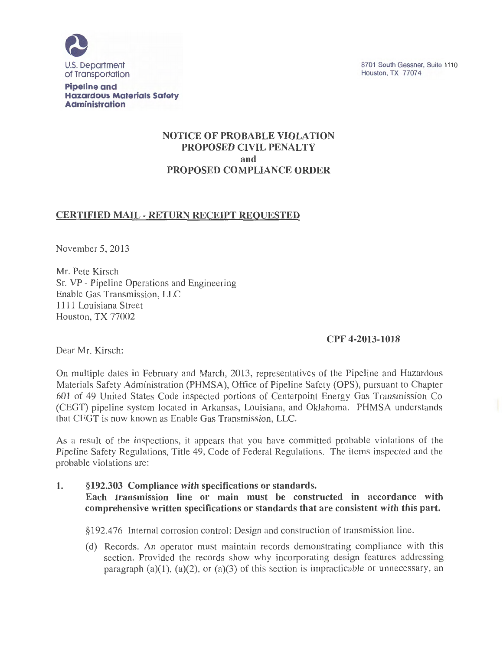

8701 South Gessner, Suite 1110 Houston, TX 77074

**Pipeline and Hazardous Materials Safety Administration** 

# **NOTICE OF PROBABLE VIOLATION PROPOSED CIVIL PENALTY and PROPOSED COMPLIANCE ORDER**

# **CERTIFIED MAIL- RETURN RECEIPT REQUESTED**

November 5, 2013

Mr. Pete Kirsch Sr. VP - Pipeline Operations and Engineering Enable Gas Transmission, LLC 1111 Louisiana Street Houston, TX 77002

## **CPF 4-2013-1018**

Dear Mr. Kirsch:

On multiple dates in February and March, 2013, representatives of the Pipeline and Hazardous Materials Safety Administration (PHMSA), Office of Pipeline Safety (OPS), pursuant to Chapter 601 of 49 United States Code inspected portions of Centerpoint Energy Gas Transmission Co (CEGT) pipeline system located in Arkansas, Louisiana, and Oklahoma. PHMSA understands that CEGT is now known as Enable Gas Transmission, LLC.

As a result of the inspections, it appears that you have committed probable violations of the Pipeline Safety Regulations, Title 49, Code of Federal Regulations. The items inspected and the probable violations are:

**1. §192.303 Compliance with specifications or standards. Each transmission line or main must be constructed in accordance with comprehensive written specifications or standards that are consistent with this part.** 

§192.476 Internal corrosion control: Design and construction of transmission line.

(d) Records. An operator must maintain records demonstrating compliance with this section. Provided the records show why incorporating design features addressing paragraph  $(a)(1)$ ,  $(a)(2)$ , or  $(a)(3)$  of this section is impracticable or unnecessary, an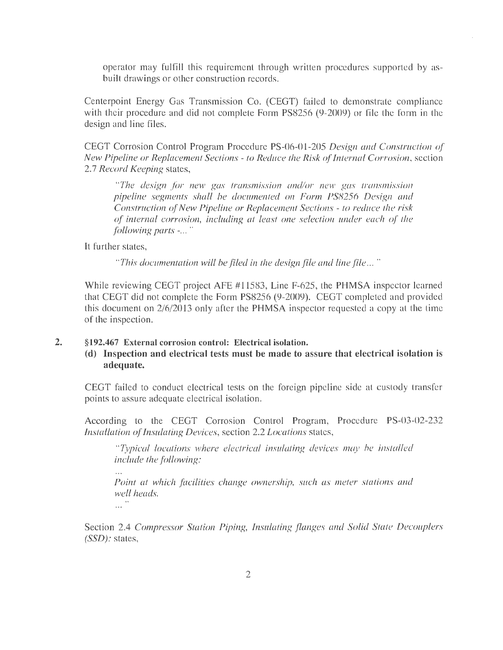operator may fulfill this requirement through written procedures supported by asbuilt drawings or other construction records.

Centerpoint Energy Gas Transmission Co. (CEGT) failed to demonstrate compliance with their procedure and did not complete Form PS8256 (9-2009) or file the form in the design and line files.

CEGT Corrosion Control Program Procedure PS-06-01-205 *Design and Construction of New Pipeline or Replacement Sections - to Reduce the Risk of Internal Corrosion,* section 2.7 *Record Keeping* states,

*"The design for new gas transmission and/or new gas transmission pipeline segments shall be documented on Form PS8256 Design and Construction of New Pipeline or Replacement Sections - to reduce the risk of internal corrosion, including at least one selection under each of the following parts* -... "

It further states,

 $\dddotsc$ 

*"This documentation will be flied in the design flle and line flle .. .* "

While reviewing CEGT project AFE #11583, Line F-625, the PHMSA inspector learned that CEGT did not complete the Form PS8256 (9-2009). CEGT completed and provided this document on 2/6/2013 only after the PHMSA inspector requested a copy at the time of the inspection.

#### **2. §192.467 External corrosion control: Electrical isolation.**

**(d) Inspection and electrical tests must be made to assure that electrical isolation is adequate.** 

CEGT failed to conduct electrical tests on the foreign pipeline side at custody transfer points to assure adequate electrical isolation.

According to the CEGT Corrosion Control Program, Procedure PS-03-02-232 *Installation of Insulating Devices,* section 2.2 *Locations* states,

*"Typical locations where electrical insulating devices may be installed include the following:* 

*Point at which facilities change ownership, such as meter stations and well heads.*  ""<br>"""

Section 2.4 *Compressor Station Piping, Insulating flanges and Solid State Decouplers (SSD):* states,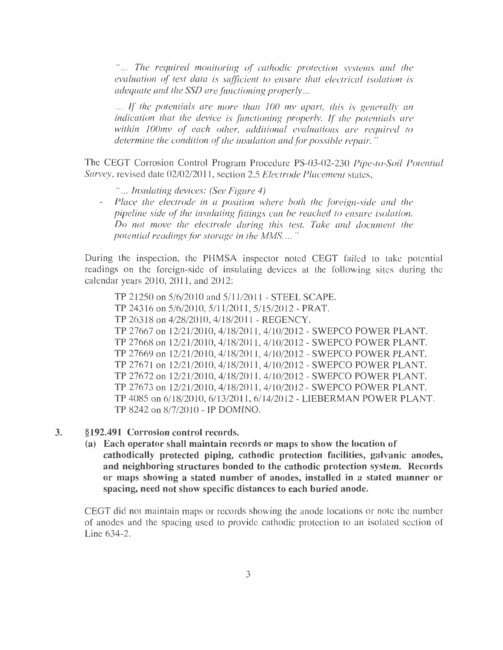*The required monitoring of cathodic protection systems and the evaluation of test data is sufficient to ensure that electrical isolation is adequate and the SSD are functioning properly...* 

... If the potentials are more than 100 my apart, this is generally an *indication that the device is functioning properly. If the potentials are within 1 OOmv of each other, additional evaluations are required to determine the condition of the insulation and for possible repair.* "

The CEGT Corrosion Control Program Procedure PS-03-02-230 *Pipe-to-Soil Potential Survey,* revised date 02/02/2011, section 2.5 *Electrode Placement* states,

- " ... *Insulating devices: (See Figure 4)*
- *Place the electrode in a position where both the foreign-side and the*   $\omega_{\rm c}$ *pipeline side of the insulating fittings can be reached to ensure isolation. Do not move the electrode during this test. Take and document the potential readings.for storage in the MMS.* ... "

During the inspection, the PHMSA inspector noted CEGT failed to take potential readings on the foreign-side of insulating devices at the following sites during the calendar years 2010, 2011, and 2012:

TP 21250 on 5/6/2010 and 5/11/2011- STEEL SCAPE. TP 24316 on 5/6/2010, 5/11/2011, 5/15/2012- PRAT. TP 26318 on 4/28/2010, 4/18/2011- REGENCY. TP 27667 on 12/21/2010, 4/18/2011, 4/10/2012- SWEPCO POWER PLANT. TP 27668 on 12/21/2010, 4/18/2011, 4/10/2012 - SWEPCO POWER PLANT. TP 27669 on 12/21/2010, 4/18/2011, 4/10/2012 - SWEPCO POWER PLANT. TP 27671 on 12/21/2010, 4/18/2011, 4/10/2012 - SWEPCO POWER PLANT. TP 27672 on 12/21/2010, 4/18/2011, 4/10/2012 - SWEPCO POWER PLANT. TP 27673 on 12/21/2010, 4/18/2011, 4/10/2012 - SWEPCO POWER PLANT. TP 4085 on 6/18/2010, 6/13/2011, 6/14/2012 - LIEBERMAN POWER PLANT. TP 8242 on 8/7/2010 - IP DOMINO.

- 3. §192.491 Corrosion control records.
	- (a) Each operator shall maintain records or maps to show the location of cathodically protected piping, cathodic protection facilities, galvanic anodes, and neighboring structures bonded to the cathodic protection system. Records or maps showing a stated number of anodes, installed in a stated manner or spacing, need not show specific distances to each buried anode.

CEGT did not maintain maps or records showing the anode locations or note the number of anodes and the spacing used to provide cathodic protection to an isolated section of Line 634-2.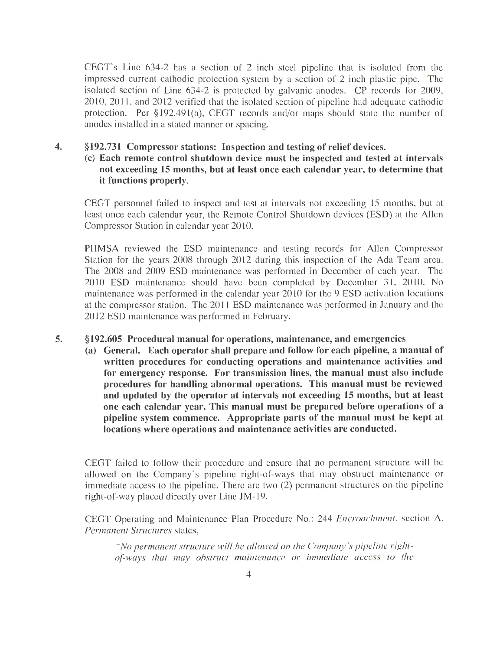CEGT's Line 634-2 has a section of 2 inch steel pipeline that is isolated from the impressed current cathodic protection system by a section of 2 inch plastic pipe. The isolated section of Line 634-2 is protected by galvanic anodes. CP records for 2009, 2010, 2011, and 2012 verified that the isolated section of pipeline had adequate cathodic protection. Per §192.491(a), CEGT records and/or maps should state the number of anodes installed in a stated manner or spacing.

### **4. §192.731 Compressor stations: Inspection and testing of relief devices.**

## (c) **Each remote control shutdown device must be inspected and tested at intervals not exceeding 15 months, but at least once each calendar year, to determine that it functions properly.**

CEGT personnel failed to inspect and test at intervals not exceeding 15 months, but at least once each calendar year, the Remote Control Shutdown devices (ESD) at the Allen Compressor Station in calendar year 2010.

PHMSA reviewed the ESD maintenance and testing records for Allen Compressor Station for the years 2008 through 2012 during this inspection of the Ada Team area. The 2008 and 2009 ESD maintenance was performed in December of each year. The 2010 ESD maintenance should have been completed by December 31, 2010. No maintenance was performed in the calendar year 2010 for the 9 ESD activation locations at the compressor station. The 2011 ESD maintenance was performed in January and the 2012 ESD maintenance was performed in February.

#### **5. §192.605 Procedural manual for operations, maintenance, and emergencies**

**(a) General. Each operator shall prepare and follow for each pipeline, a manual of written procedures for conducting operations and maintenance activities and for emergency response. For transmission lines, the manual must also include procedures for handling abnormal operations. This manual must be reviewed and updated by the operator at intervals not exceeding 15 months, but at least one each calendar year. This manual must be prepared before operations of a**  pipeline system commence. Appropriate parts of the manual must be kept at **locations where operations and maintenance activities are conducted.** 

CEGT failed to follow their procedure and ensure that no permanent structure will be allowed on the Company's pipeline right-of-ways that may obstruct maintenance or immediate access to the pipeline. There are two (2) permanent structures on the pipeline right-of-way placed directly over Line JM-19.

CEGT Operating and Maintenance Plan Procedure No.: 244 *Encroachment,* section A. *Permanent Structures* states,

*"No permanent structure will be allowed on the Company's pipeline rightorways that may obstruct maintenance or immediate access to the*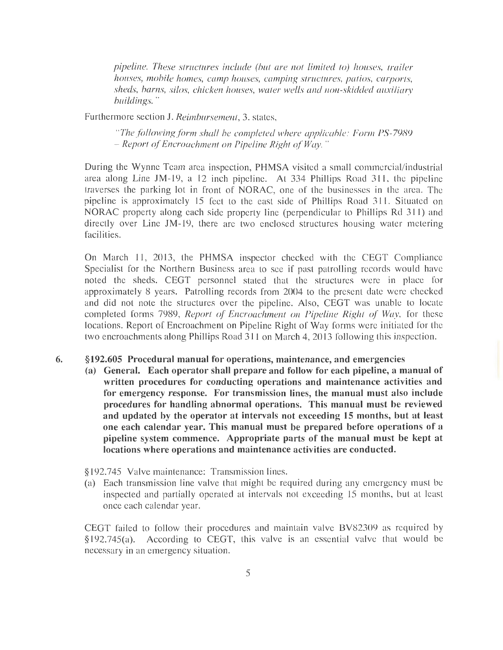*pipeline. These structures include (but are not limited to) houses, trailer houses, mobile homes, camp houses, camping structures, patios, carports, sheds, barns, silos, chicken houses, water wells and non-skidded auxiliary buildings.* "

Furthermore section **J.** *Reimbursement,* 3. states,

*"The following form shall be completed where applicable: Form PS-7989 - Report ofEncroachment on Pipeline Right qfWay."* 

During the Wynne Team area inspection, PHMSA visited a small commercial/industrial area along Line JM-19, a 12 inch pipeline. At 334 Phillips Road 311, the pipeline traverses the parking lot in front of NORAC, one of the businesses in the area. The pipeline is approximately 15 feet to the east side of Phillips Road 311. Situated on NORAC property along each side property line (perpendicular to Phillips Rd 311) and directly over Line JM-19, there are two enclosed structures housing water metering facilities.

On March 11, 2013, the PHMSA inspector checked with the CEGT Compliance Specialist for the Northern Business area to see if past patrolling records would have noted the sheds. CEGT personnel stated that the structures were in place for approximately 8 years. Patrolling records from 2004 to the present date were checked and did not note the structures over the pipeline. Also, CEGT was unable to locate completed forms 7989, *Report of Encroachment on Pipeline Right of Way,* for these locations. Report of Encroachment on Pipeline Right of Way forms were initiated for the two encroachments along Phillips Road 311 on March 4, 2013 following this inspection.

#### **6.** §192.605 Procedural manual for operations, maintenance, and emergencies

**(a) General. Each operator shall prepare and follow for each pipeline, a manual of written procedures for conducting operations and maintenance activities and for emergency response. For transmission lines, the manual must also include**  procedures for handling abnormal operations. This manual must be reviewed **and updated by the operator at intervals not exceeding 15 months, but at least one each calendar year. This manual must be prepared before operations of a pipeline system commence. Appropriate parts of the manual must be kept at locations where operations and maintenance activities are conducted.** 

§192.745 Valve maintenance: Transmission lines.

(a) Each transmission line valve that might be required during any emergency must be inspected and partially operated at intervals not exceeding 15 months, but at least once each calendar year.

CEGT failed to follow their procedures and maintain valve BV82309 as required by §192.745(a). According to CEGT, this valve is an essential valve that would be necessary in an emergency situation.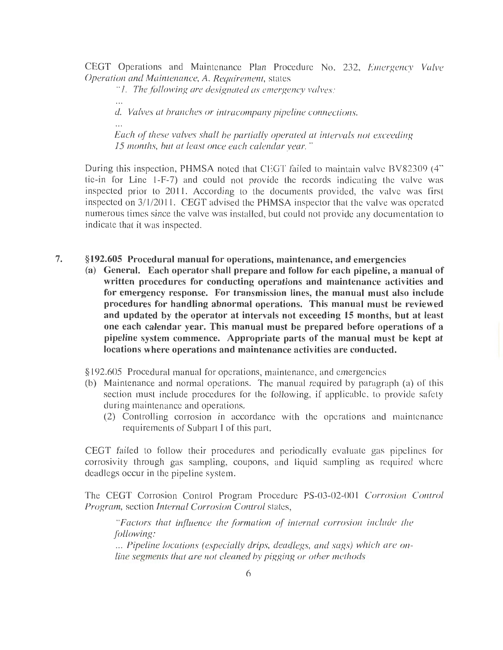CEGT Operations and Maintenance Plan Procedure No. 232, *Emergency Valve Operation and Maintenance,* A. *Requirement,* states

*"1. Thefollo-vving are designated as emergency valves:* 

 $\cdots$ 

d. *Valves at branches or intracompany pipeline connections.* 

*Each of these valves shall be partially operated at intervals not exceeding 15 months, but at least once each calendar year."* 

During this inspection, PHMSA noted that CEGT failed to maintain valve BV82309 (4" tie-in for Line 1-F-7) and could not provide the records indicating the valve was inspected prior to 2011. According to the documents provided, the valve was first inspected on 3/1/2011. CEGT advised the PHMSA inspector that the valve was operated numerous times since the valve was installed, but could not provide any documentation to indicate that it was inspected.

- **7. §192.605 Procedural manual for operations, maintenance, and emergencies** 
	- **(a) General. Each operator shall prepare and follow for each pipeline, a manual of written procedures for conducting operations and maintenance activities and for emergency response. For transmission lines, the manual must also include procedures for handling abnormal operations. This manual must be reviewed and updated by the operator at intervals not exceeding 15 months, but at least one each calendar year. This manual must be prepared before operations of a**  pipeline system commence. Appropriate parts of the manual must be kept at **locations where operations and maintenance activities are conducted.**

§192.605 Procedural manual for operations, maintenance, and emergencies

- (b) Maintenance and normal operations. The manual required by paragraph (a) of this section must include procedures for the following, if applicable, to provide safety during maintenance and operations.
	- (2) Controlling corrosion in accordance with the operations and maintenance requirements of Subpart I of this part.

CEGT failed to follow their procedures and periodically evaluate gas pipelines for corrosivity through gas sampling, coupons, and liquid sampling as required where deadlegs occur in the pipeline system.

The CEGT Corrosion Control Program Procedure PS-03-02-001 *Corrosion Control Program,* section *Internal Corrosion Control* states,

*"Factors that influence the formation of internal corrosion include the following:*  ... *Pipeline locations (especially drips, deadlegs, and sags) which are online segments that are not cleaned by pigging or other methods*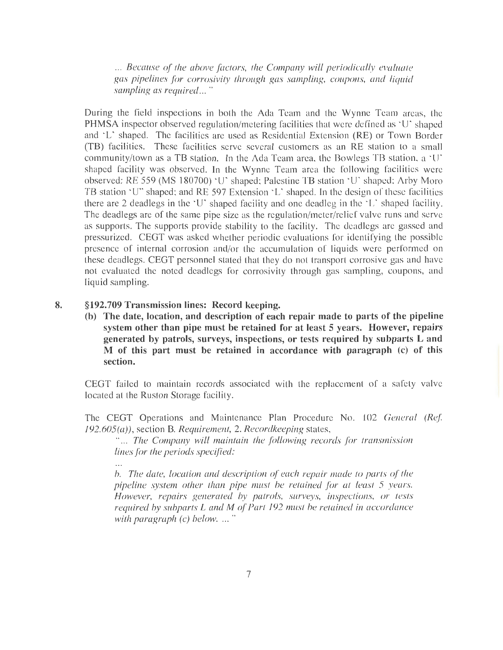... *Because of the above factors, the Company will periodically evaluate gas pipelines for corrosivity through gas sampling, coupons, and liquid sampling as required .. . "* 

During the field inspections in both the Ada Team and the Wynne Team areas, the PHMSA inspector observed regulation/metering facilities that were defined as 'U' shaped and 'L' shaped. The facilities are used as Residential Extension (RE) or Town Border (TB) facilities. These facilities serve several customers as an RE station to a small community/town as a TB station. In the Ada Team area, the Bowlegs TB station, a ' U' shaped facility was observed. In the Wynne Team area the following facilities were observed: RE 559 (MS 180700) 'U' shaped; Palestine TB station 'U' shaped; Arby Moro TB station 'U" shaped; and RE 597 Extension 'L' shaped. In the design of these facilities there are 2 deadlegs in the 'U' shaped facility and one deadleg in the 'L' shaped facility. The deadlegs are of the same pipe size as the regulation/meter/relief valve runs and serve as supports. The supports provide stability to the facility. The deadlegs are gassed and pressurized. CEGT was asked whether periodic evaluations for identifying the possible presence of internal corrosion and/or the accumulation of liquids were performed on these deadlegs. CEGT personnel stated that they do not transport corrosive gas and have not evaluated the noted deadlegs for corrosivity through gas sampling, coupons, and liquid sampling.

#### 8. §192.709 Transmission lines: Record keeping.

**(b) The date, location, and description of each repair made to parts of the pipeline system other than pipe must be retained for at least 5 years. However, repairs generated by patrols, surveys, inspections, or tests required by subparts L and M** of this part must be retained in accordance with paragraph (c) of this **section.** 

CEGT failed to maintain records associated with the replacement of a safety valve located at the Ruston Storage facility.

The CEGT Operations and Maintenance Plan Procedure No. 102 *General (Ref. 192.605(a)),* section B. *Requirement,* 2. *Recordkeeping* states,

'·... *The Company will maintain the following records for transmission lines for the periods specif!ed:* 

*b. The date, location and description of each repair made to parts of the pipeline system other than pipe must be retained for at least 5 years. However, repairs generated by patrols, surveys, inspections, or tests required by subparts Land M of Part 192 must be retained in accordance with paragraph (c) below. ...* "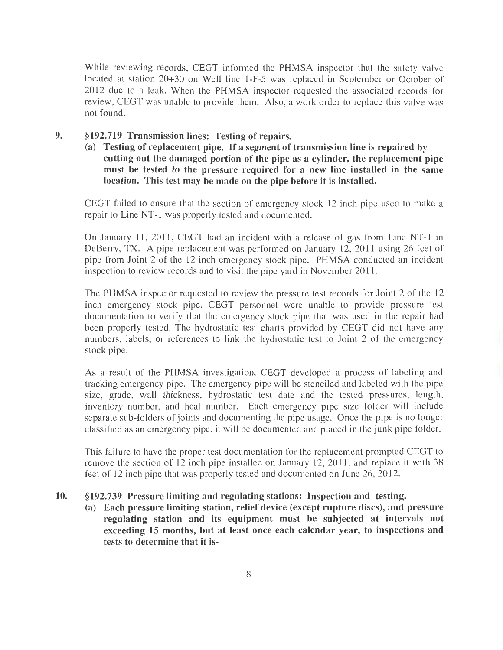While reviewing records, CEGT informed the PHMSA inspector that the safety valve located at station 20+30 on Well line 1-F-5 was replaced in September or October of 2012 due to a leak. When the PHMSA inspector requested the associated records for review, CEGT was unable to provide them. Also, a work order to replace this valve was not found.

- 9. §192.719 Transmission lines: Testing of repairs.
	- **(a) Testing of replacement pipe. If a segment of transmission line is repaired by**  cutting out the damaged portion of the pipe as a cylinder, the replacement pipe **must be tested to the pressure required for a new line installed in the same location. This test may be made on the pipe before it is installed.**

CEGT failed to ensure that the section of emergency stock 12 inch pipe used to make a repair to Line NT-1 was properly tested and documented.

On January 11, 2011, CEGT had an incident with a release of gas from Line NT-1 in DeBerry, TX. A pipe replacement was performed on January 12, 2011 using 26 feet of pipe from Joint 2 of the 12 inch emergency stock pipe. PHMSA conducted an incident inspection to review records and to visit the pipe yard in November 2011.

The PHMSA inspector requested to review the pressure test records for Joint 2 of the 12 inch emergency stock pipe. CEGT personnel were unable to provide pressure test documentation to verify that the emergency stock pipe that was used in the repair had been properly tested. The hydrostatic test charts provided by CEGT did not have any numbers, labels, or references to link the hydrostatic test to Joint 2 of the emergency stock pipe.

As a result of the PHMSA investigation, CEGT developed a process of labeling and tracking emergency pipe. The emergency pipe will be stenciled and labeled with the pipe size, grade, wall thickness, hydrostatic test date and the tested pressures, length, inventory number, and heat number. Each emergency pipe size folder will include separate sub-folders of joints and documenting the pipe usage. Once the pipe is no longer classified as an emergency pipe, it will be documented and placed in the junk pipe folder.

This failure to have the proper test documentation for the replacement prompted CEGT to remove the section of 12 inch pipe installed on January 12, 2011, and replace it with 38 feet of 12 inch pipe that was properly tested and documented on June 26, 2012.

#### **10. §192.739 Pressure limiting and regulating stations: Inspection and testing.**

**(a) Each pressure limiting station, relief device (except rupture discs), and pressure regulating station and its equipment must be subjected at intervals not exceeding 15 months, but at least once each calendar year, to inspections and tests to determine that it is-**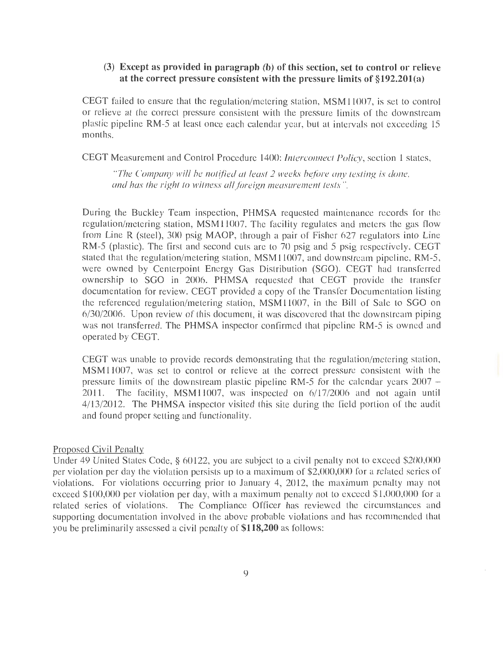### **(3) Except as provided in paragraph (b) of this section, set to control or relieve**  at the correct pressure consistent with the pressure limits of §192.201(a)

CEGT failed to ensure that the regulation/metering station, MSM11007, is set to control or relieve at the correct pressure consistent with the pressure limits of the downstream plastic pipeline RM-5 at least once each calendar year, but at intervals not exceeding 15 months.

CEGT Measurement and Control Procedure 1400: *Interconnect Policy,* section 1 states,

*"The Company will be notified at least 2 weeks before any testing is done, and has the right to witness allforeign measurement tests ".* 

During the Buckley Team inspection, PHMSA requested maintenance records for the regulation/metering station, MSM11007. The facility regulates and meters the gas flow from Line R (steel), 300 psig MAOP, through a pair of Fisher 627 regulators into Line RM-5 (plastic). The first and second cuts are to 70 psig and 5 psig respectively. CEGT stated that the regulation/metering station, MSM11007, and downstream pipeline, RM-5, were owned by Centerpoint Energy Gas Distribution (SGO). CEGT had transferred ownership to SGO in 2006. PHMSA requested that CEGT provide the transfer documentation for review. CEGT provided a copy of the Transfer Documentation listing the referenced regulation/metering station, MSM11007, in the Bill of Sale to SGO on 6/30/2006. Upon review of this document, it was discovered that the downstream piping was not transferred. The PHMSA inspector confirmed that pipeline RM-5 is owned and operated by CEGT.

CEGT was unable to provide records demonstrating that the regulation/metering station, MSM11007, was set to control or relieve at the correct pressure consistent with the pressure limits of the downstream plastic pipeline RM-5 for the calendar years  $2007 -$ 2011. The facility, MSM11007, was inspected on 6/17/2006 and not again until 4/13/2012. The PHMSA inspector visited this site during the field portion of the audit and found proper setting and functionality.

#### Proposed Civil Penalty

Under 49 United States Code, § 60122, you are subject to a civil penalty not to exceed \$200,000 per violation per day the violation persists up to a maximum of \$2,000,000 for a related series of violations. For violations occurring prior to January 4, 2012, the maximum penalty may not exceed \$100,000 per violation per day, with a maximum penalty not to exceed \$1,000,000 for a related series of violations. The Compliance Officer has reviewed the circumstances and supporting documentation involved in the above probable violations and has recommended that you be preliminarily assessed a civil penalty of **\$118,200** as follows: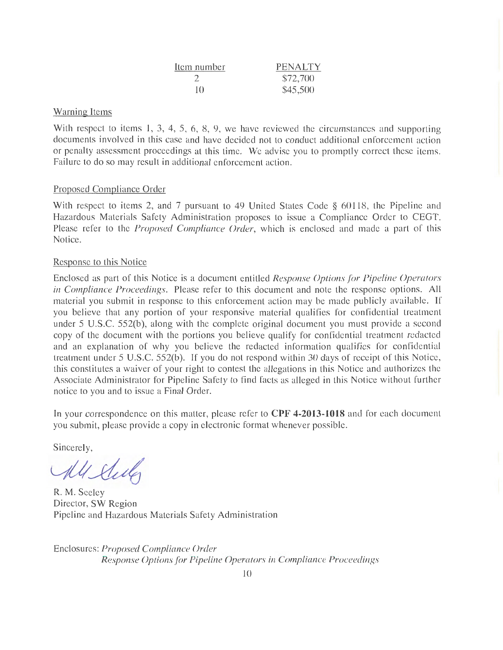| Item number   | PENALTY  |
|---------------|----------|
|               | \$72,700 |
| $\vert \vert$ | \$45,500 |

### Warning Items

With respect to items 1, 3, 4, 5, 6, 8, 9, we have reviewed the circumstances and supporting documents involved in this case and have decided not to conduct additional enforcement action or penalty assessment proceedings at this time. We advise you to promptly correct these items. Failure to do so may result in additional enforcement action.

## Proposed Compliance Order

With respect to items 2, and 7 pursuant to 49 United States Code § 60118, the Pipeline and Hazardous Materials Safety Administration proposes to issue a Compliance Order to CEGT. Please refer to the *Proposed Compliance Order,* which is enclosed and made a part of this Notice.

### Response to this Notice

Enclosed as part of this Notice is a document entitled *Response Options for Pipeline Operators in Compliance Proceedings.* Please refer to this document and note the response options. All material you submit in response to this enforcement action may be made publicly available. If you believe that any portion of your responsive material qualifies for confidential treatment under 5 U.S.C. 552(b), along with the complete original document you must provide a second copy of the document with the portions you believe qualify for confidential treatment redacted and an explanation of why you believe the redacted information qualifies for confidential treatment under 5 U.S.C. 552(b). If you do not respond within 30 days of receipt of this Notice, this constitutes a waiver of your right to contest the allegations in this Notice and authorizes the Associate Administrator for Pipeline Safety to find facts as alleged in this Notice without further notice to you and to issue a Final Order.

In your correspondence on this matter, please refer to **CPF 4-2013-1018** and for each document you submit, please provide a copy in electronic format whenever possible.

Sincerely,

All Elector

R. M. Seeley Director, SW Region Pipeline and Hazardous Materials Safety Administration

Enclosures: *Proposed Compliance Order Response Options for Pipeline Operators in Compliance Proceedings*